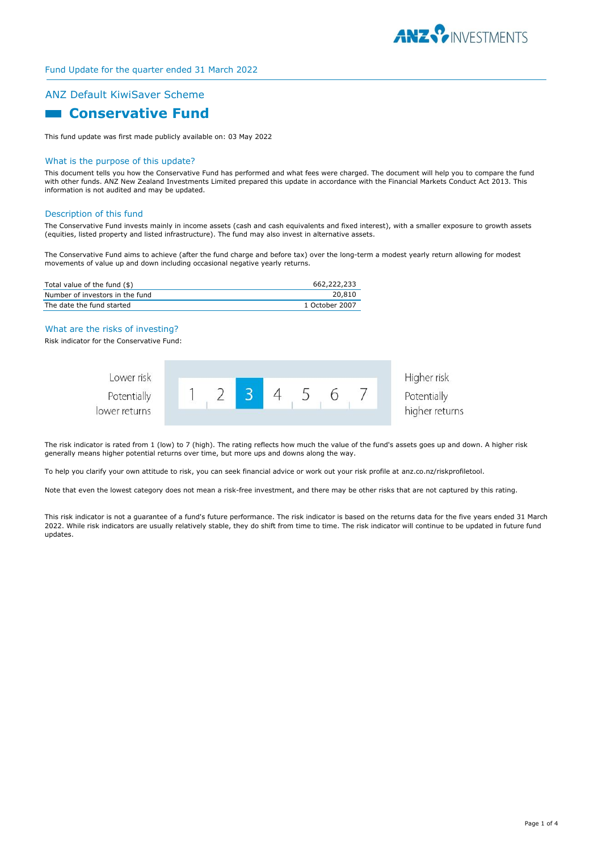

# ANZ Default KiwiSaver Scheme

# **Conservative Fund**

This fund update was first made publicly available on: 03 May 2022

#### What is the purpose of this update?

This document tells you how the Conservative Fund has performed and what fees were charged. The document will help you to compare the fund with other funds. ANZ New Zealand Investments Limited prepared this update in accordance with the Financial Markets Conduct Act 2013. This information is not audited and may be updated.

#### Description of this fund

The Conservative Fund invests mainly in income assets (cash and cash equivalents and fixed interest), with a smaller exposure to growth assets (equities, listed property and listed infrastructure). The fund may also invest in alternative assets.

The Conservative Fund aims to achieve (after the fund charge and before tax) over the long-term a modest yearly return allowing for modest movements of value up and down including occasional negative yearly returns.

| Total value of the fund (\$)    | 662,222,233    |
|---------------------------------|----------------|
| Number of investors in the fund | 20,810         |
| The date the fund started       | 1 October 2007 |

#### What are the risks of investing?

Risk indicator for the Conservative Fund:



The risk indicator is rated from 1 (low) to 7 (high). The rating reflects how much the value of the fund's assets goes up and down. A higher risk generally means higher potential returns over time, but more ups and downs along the way.

To help you clarify your own attitude to risk, you can seek financial advice or work out your risk profile at anz.co.nz/riskprofiletool.

Note that even the lowest category does not mean a risk-free investment, and there may be other risks that are not captured by this rating.

This risk indicator is not a guarantee of a fund's future performance. The risk indicator is based on the returns data for the five years ended 31 March 2022. While risk indicators are usually relatively stable, they do shift from time to time. The risk indicator will continue to be updated in future fund updates.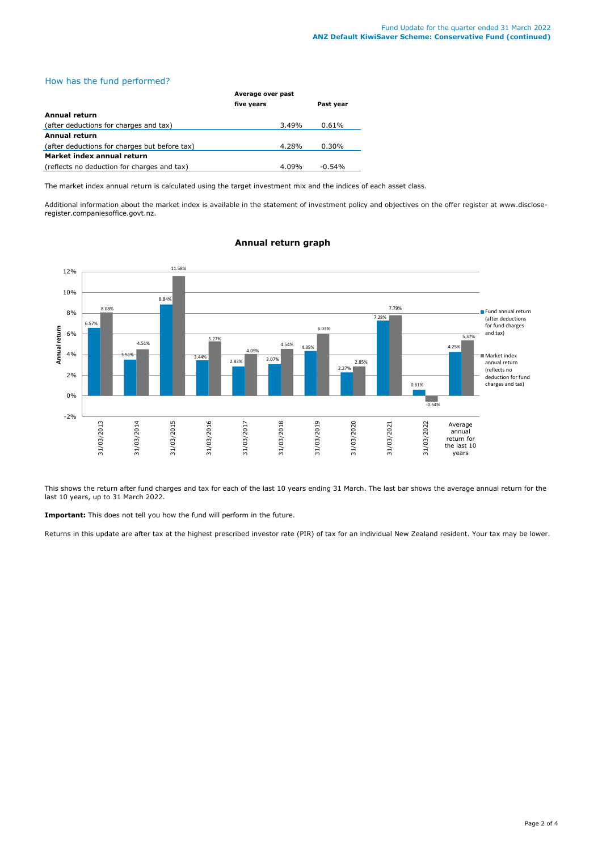# How has the fund performed?

|                                               | Average over past |           |  |
|-----------------------------------------------|-------------------|-----------|--|
|                                               | five years        | Past year |  |
| <b>Annual return</b>                          |                   |           |  |
| (after deductions for charges and tax)        | 3.49%             | 0.61%     |  |
| <b>Annual return</b>                          |                   |           |  |
| (after deductions for charges but before tax) | 4.28%             | $0.30\%$  |  |
| Market index annual return                    |                   |           |  |
| (reflects no deduction for charges and tax)   | 4.09%             | $-0.54%$  |  |

The market index annual return is calculated using the target investment mix and the indices of each asset class.

Additional information about the market index is available in the statement of investment policy and objectives on the offer register at www.discloseregister.companiesoffice.govt.nz.



# **Annual return graph**

This shows the return after fund charges and tax for each of the last 10 years ending 31 March. The last bar shows the average annual return for the last 10 years, up to 31 March 2022.

**Important:** This does not tell you how the fund will perform in the future.

Returns in this update are after tax at the highest prescribed investor rate (PIR) of tax for an individual New Zealand resident. Your tax may be lower.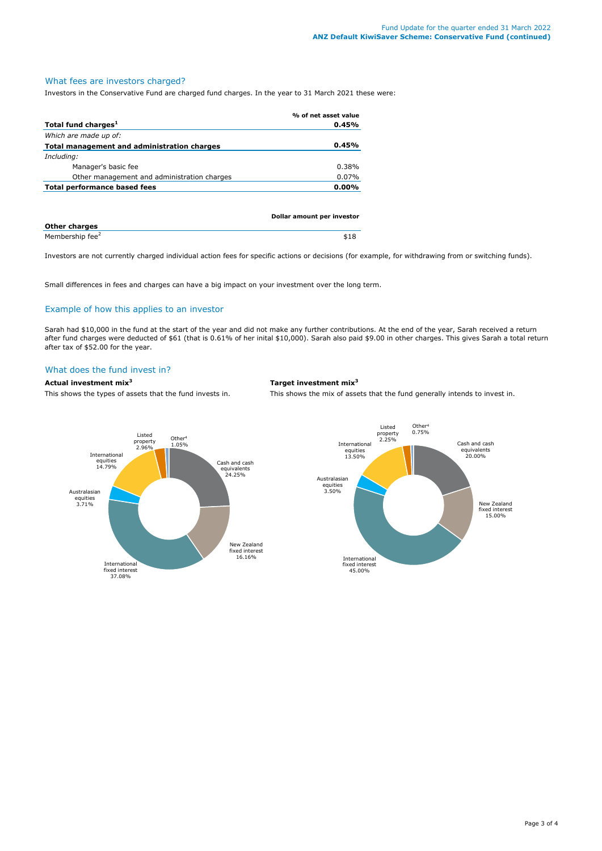#### What fees are investors charged?

Investors in the Conservative Fund are charged fund charges. In the year to 31 March 2021 these were:

|                                             | % of net asset value       |
|---------------------------------------------|----------------------------|
| Total fund charges <sup>1</sup>             | 0.45%                      |
| Which are made up of:                       |                            |
| Total management and administration charges | 0.45%                      |
| Including:                                  |                            |
| Manager's basic fee                         | $0.38\%$                   |
| Other management and administration charges | 0.07%                      |
| Total performance based fees                | $0.00\%$                   |
|                                             |                            |
|                                             |                            |
|                                             | Dollar amount per investor |

| <b>Other charges</b>        |  |
|-----------------------------|--|
| Membership fee <sup>2</sup> |  |

Investors are not currently charged individual action fees for specific actions or decisions (for example, for withdrawing from or switching funds).

Small differences in fees and charges can have a big impact on your investment over the long term.

# Example of how this applies to an investor

Sarah had \$10,000 in the fund at the start of the year and did not make any further contributions. At the end of the year, Sarah received a return after fund charges were deducted of \$61 (that is 0.61% of her inital \$10,000). Sarah also paid \$9.00 in other charges. This gives Sarah a total return after tax of \$52.00 for the year.

# What does the fund invest in?

**Actual investment mix<sup>3</sup> Target investment mix<sup>3</sup>**

This shows the types of assets that the fund invests in. This shows the mix of assets that the fund generally intends to invest in.

equivalents 20.00%

New Zealand fixed interest 15.00%